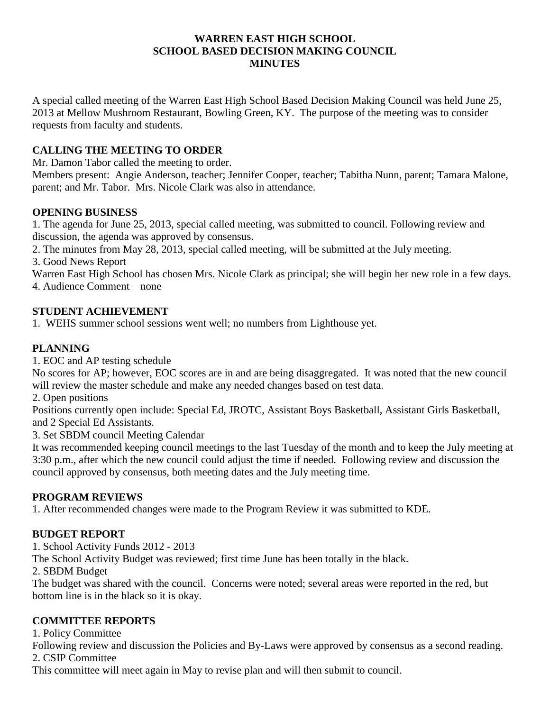#### **WARREN EAST HIGH SCHOOL SCHOOL BASED DECISION MAKING COUNCIL MINUTES**

A special called meeting of the Warren East High School Based Decision Making Council was held June 25, 2013 at Mellow Mushroom Restaurant, Bowling Green, KY. The purpose of the meeting was to consider requests from faculty and students.

# **CALLING THE MEETING TO ORDER**

Mr. Damon Tabor called the meeting to order.

Members present: Angie Anderson, teacher; Jennifer Cooper, teacher; Tabitha Nunn, parent; Tamara Malone, parent; and Mr. Tabor. Mrs. Nicole Clark was also in attendance.

### **OPENING BUSINESS**

1. The agenda for June 25, 2013, special called meeting, was submitted to council. Following review and discussion, the agenda was approved by consensus.

2. The minutes from May 28, 2013, special called meeting, will be submitted at the July meeting.

3. Good News Report

Warren East High School has chosen Mrs. Nicole Clark as principal; she will begin her new role in a few days. 4. Audience Comment – none

### **STUDENT ACHIEVEMENT**

1. WEHS summer school sessions went well; no numbers from Lighthouse yet.

# **PLANNING**

1. EOC and AP testing schedule

No scores for AP; however, EOC scores are in and are being disaggregated. It was noted that the new council will review the master schedule and make any needed changes based on test data.

2. Open positions

Positions currently open include: Special Ed, JROTC, Assistant Boys Basketball, Assistant Girls Basketball, and 2 Special Ed Assistants.

3. Set SBDM council Meeting Calendar

It was recommended keeping council meetings to the last Tuesday of the month and to keep the July meeting at 3:30 p.m., after which the new council could adjust the time if needed. Following review and discussion the council approved by consensus, both meeting dates and the July meeting time.

### **PROGRAM REVIEWS**

1. After recommended changes were made to the Program Review it was submitted to KDE.

### **BUDGET REPORT**

1. School Activity Funds 2012 - 2013

The School Activity Budget was reviewed; first time June has been totally in the black.

2. SBDM Budget

The budget was shared with the council. Concerns were noted; several areas were reported in the red, but bottom line is in the black so it is okay.

### **COMMITTEE REPORTS**

1. Policy Committee

Following review and discussion the Policies and By-Laws were approved by consensus as a second reading. 2. CSIP Committee

This committee will meet again in May to revise plan and will then submit to council.